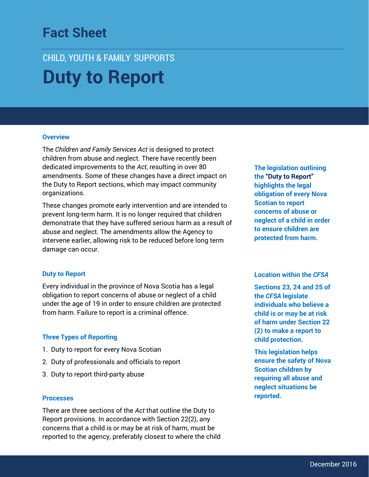## **Fact Sheet Duty to Report**

# CHILD, YOUTH & FAMILY SUPPORTS **Duty to Report**

#### **Overview**

The *Children and Family Services Act* is designed to protect children from abuse and neglect. There have recently been dedicated improvements to the *Act*, resulting in over 80 amendments. Some of these changes have a direct impact on the Duty to Report sections, which may impact community organizations.

These changes promote early intervention and are intended to prevent long-term harm. It is no longer required that children demonstrate that they have suffered serious harm as a result of abuse and neglect. The amendments allow the Agency to intervene earlier, allowing risk to be reduced before long term damage can occur.

#### **Duty to Report**

Every individual in the province of Nova Scotia has a legal obligation to report concerns of abuse or neglect of a child under the age of 19 in order to ensure children are protected from harm. Failure to report is a criminal offence.

#### **Three Types of Reporting**

- 1. Duty to report for every Nova Scotian
- 2. Duty of professionals and officials to report
- 3. Duty to report third-party abuse

#### **Processes**

There are three sections of the *Act* that outline the Duty to Report provisions. In accordance with Section 22(2), any concerns that a child is or may be at risk of harm, must be reported to the agency, preferably closest to where the child **The legislation outlining the "Duty to Report" highlights the legal obligation of every Nova Scotian to report concerns of abuse or neglect of a child in order to ensure children are protected from harm.**

### **Location within the** *CFSA*

**Sections 23, 24 and 25 of the** *CFSA* **legislate individuals who believe a child is or may be at risk of harm under Section 22 (2) to make a report to child protection.** 

**This legislation helps ensure the safety of Nova Scotian children by requiring all abuse and neglect situations be reported.**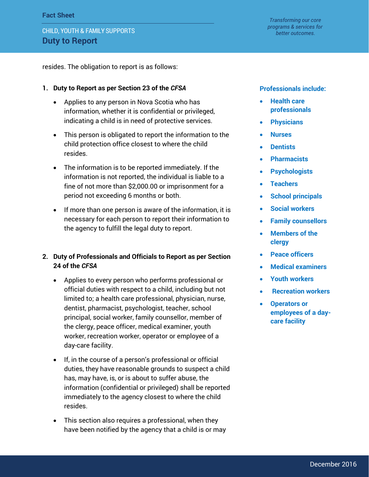resides. The obligation to report is as follows:

## **1. Duty to Report as per Section 23 of the** *CFSA*

- Applies to any person in Nova Scotia who has information, whether it is confidential or privileged, indicating a child is in need of protective services.
- This person is obligated to report the information to the child protection office closest to where the child resides.
- The information is to be reported immediately. If the information is not reported, the individual is liable to a fine of not more than \$2,000.00 or imprisonment for a period not exceeding 6 months or both.
- If more than one person is aware of the information, it is necessary for each person to report their information to the agency to fulfill the legal duty to report.
- **2. Duty of Professionals and Officials to Report as per Section 24 of the** *CFSA*
	- Applies to every person who performs professional or official duties with respect to a child, including but not limited to; a health care professional, physician, nurse, dentist, pharmacist, psychologist, teacher, school principal, social worker, family counsellor, member of the clergy, peace officer, medical examiner, youth worker, recreation worker, operator or employee of a day-care facility.
	- If, in the course of a person's professional or official duties, they have reasonable grounds to suspect a child has, may have, is, or is about to suffer abuse, the information (confidential or privileged) shall be reported immediately to the agency closest to where the child resides.
	- This section also requires a professional, when they have been notified by the agency that a child is or may

## **Professionals include:**

- **Health care professionals**
- **Physicians**
- **Nurses**
- **Dentists**
- **Pharmacists**
- **Psychologists**
- **Teachers**
- **•** School principals
- **Social workers**
- **Family counsellors**
- **Members of the clergy**
- **Peace officers**
- **Medical examiners**
- **Youth workers**
- **Recreation workers**
- **Operators or employees of a daycare facility**